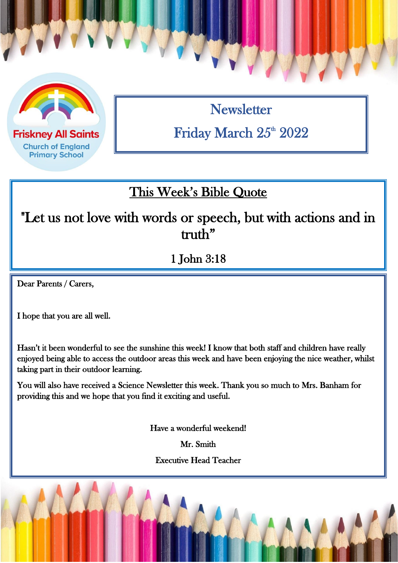

**Friskney All Saints Church of England Primary School** 

**Newsletter** Friday March  $25^{\text{th}}$  2022

#### This Week's Bible Quote

"Let us not love with words or speech, but with actions and in truth"

1 John 3:18

Dear Parents / Carers,

 $\overline{a}$ 

I hope that you are all well.

Hasn't it been wonderful to see the sunshine this week! I know that both staff and children have really enjoyed being able to access the outdoor areas this week and have been enjoying the nice weather, whilst taking part in their outdoor learning.

You will also have received a Science Newsletter this week. Thank you so much to Mrs. Banham for providing this and we hope that you find it exciting and useful.

Have a wonderful weekend!

Mr. Smith

Executive Head Teacher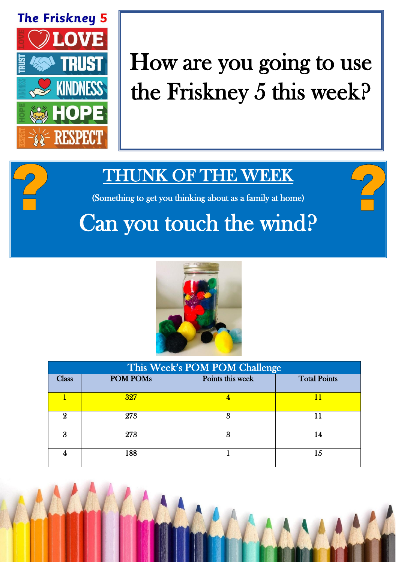

# How are you going to use the Friskney 5 this week?

## THUNK OF THE WEEK

(Something to get you thinking about as a family at home)

# Can you touch the wind?



| This Week's POM POM Challenge |                 |                  |                     |  |
|-------------------------------|-----------------|------------------|---------------------|--|
| $\rm Class$                   | <b>POM POMs</b> | Points this week | <b>Total Points</b> |  |
|                               | 327             |                  |                     |  |
| 9.                            | 273             | 3                | 11                  |  |
| 3                             | 273             | 3                | 14                  |  |
|                               | 188             |                  | 15                  |  |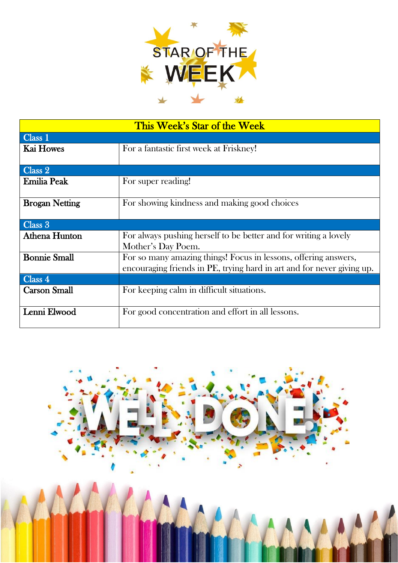

| This Week's Star of the Week |                                                                        |  |  |  |
|------------------------------|------------------------------------------------------------------------|--|--|--|
| Class 1                      |                                                                        |  |  |  |
| <b>Kai Howes</b>             | For a fantastic first week at Friskney!                                |  |  |  |
|                              |                                                                        |  |  |  |
| Class 2                      |                                                                        |  |  |  |
| <b>Emilia Peak</b>           | For super reading!                                                     |  |  |  |
| <b>Brogan Netting</b>        | For showing kindness and making good choices                           |  |  |  |
|                              |                                                                        |  |  |  |
| Class 3                      |                                                                        |  |  |  |
| Athena Hunton                | For always pushing herself to be better and for writing a lovely       |  |  |  |
|                              | Mother's Day Poem.                                                     |  |  |  |
| <b>Bonnie Small</b>          | For so many amazing things! Focus in lessons, offering answers,        |  |  |  |
|                              | encouraging friends in PE, trying hard in art and for never giving up. |  |  |  |
| Class 4                      |                                                                        |  |  |  |
| <b>Carson Small</b>          | For keeping calm in difficult situations.                              |  |  |  |
|                              |                                                                        |  |  |  |
| Lenni Elwood                 | For good concentration and effort in all lessons.                      |  |  |  |
|                              |                                                                        |  |  |  |

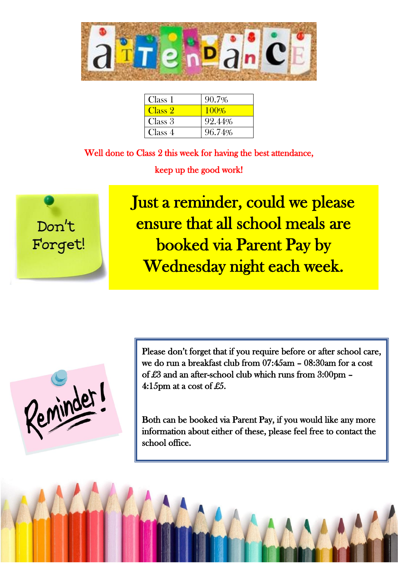

| Class 1 | 90.7%  |
|---------|--------|
| Class 2 | 100%   |
| Class 3 | 92.44% |
| Class 4 | 96.74% |

Well done to Class 2 this week for having the best attendance, keep up the good work!

 $\overline{a}$ 



Just a reminder, could we please ensure that all school meals are booked via Parent Pay by Wednesday night each week.

Reminder

Please don't forget that if you require before or after school care, we do run a breakfast club from 07:45am – 08:30am for a cost of £3 and an after-school club which runs from 3:00pm – 4:15pm at a cost of £5.

Both can be booked via Parent Pay, if you would like any more information about either of these, please feel free to contact the school office.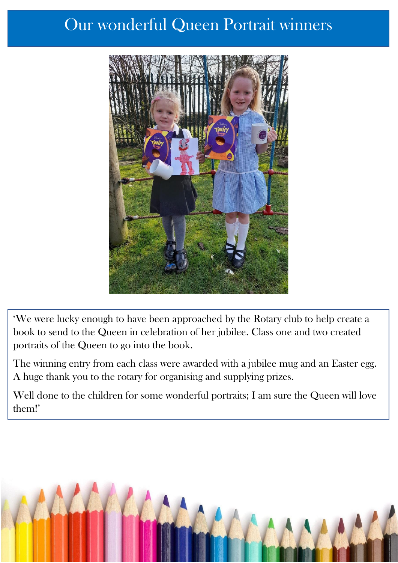### Our wonderful Queen Portrait winners



'We were lucky enough to have been approached by the Rotary club to help create a book to send to the Queen in celebration of her jubilee. Class one and two created portraits of the Queen to go into the book.

The winning entry from each class were awarded with a jubilee mug and an Easter egg. A huge thank you to the rotary for organising and supplying prizes.

Well done to the children for some wonderful portraits; I am sure the Queen will love them!'